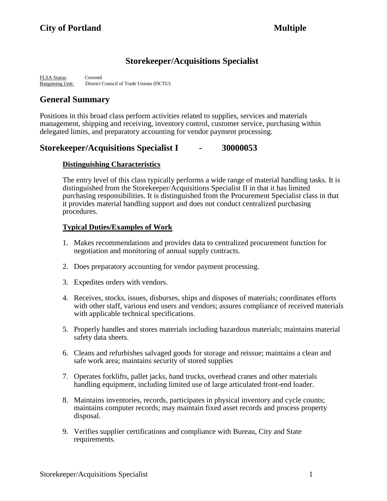# **Storekeeper/Acquisitions Specialist**

FLSA Status: Covered Bargaining Unit: District Council of Trade Unions (DCTU)

# **General Summary**

Positions in this broad class perform activities related to supplies, services and materials management, shipping and receiving, inventory control, customer service, purchasing within delegated limits, and preparatory accounting for vendor payment processing.

# **Storekeeper/Acquisitions Specialist I - 30000053**

# **Distinguishing Characteristics**

The entry level of this class typically performs a wide range of material handling tasks. It is distinguished from the Storekeeper/Acquisitions Specialist II in that it has limited purchasing responsibilities. It is distinguished from the Procurement Specialist class in that it provides material handling support and does not conduct centralized purchasing procedures.

# **Typical Duties/Examples of Work**

- 1. Makes recommendations and provides data to centralized procurement function for negotiation and monitoring of annual supply contracts.
- 2. Does preparatory accounting for vendor payment processing.
- 3. Expedites orders with vendors.
- 4. Receives, stocks, issues, disburses, ships and disposes of materials; coordinates efforts with other staff, various end users and vendors; assures compliance of received materials with applicable technical specifications.
- 5. Properly handles and stores materials including hazardous materials; maintains material safety data sheets.
- 6. Cleans and refurbishes salvaged goods for storage and reissue; maintains a clean and safe work area; maintains security of stored supplies
- 7. Operates forklifts, pallet jacks, hand trucks, overhead cranes and other materials handling equipment, including limited use of large articulated front-end loader.
- 8. Maintains inventories, records, participates in physical inventory and cycle counts; maintains computer records; may maintain fixed asset records and process property disposal.
- 9. Verifies supplier certifications and compliance with Bureau, City and State requirements.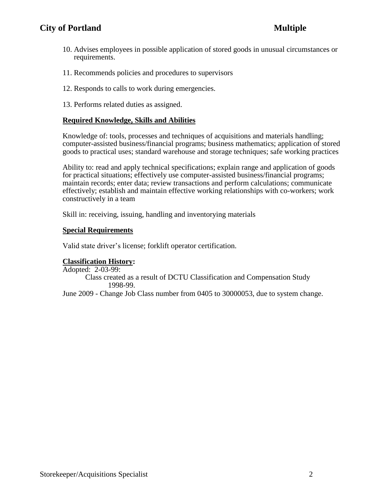# **City of Portland** Multiple

- 10. Advises employees in possible application of stored goods in unusual circumstances or requirements.
- 11. Recommends policies and procedures to supervisors
- 12. Responds to calls to work during emergencies.
- 13. Performs related duties as assigned.

## **Required Knowledge, Skills and Abilities**

Knowledge of: tools, processes and techniques of acquisitions and materials handling; computer-assisted business/financial programs; business mathematics; application of stored goods to practical uses; standard warehouse and storage techniques; safe working practices

Ability to: read and apply technical specifications; explain range and application of goods for practical situations; effectively use computer-assisted business/financial programs; maintain records; enter data; review transactions and perform calculations; communicate effectively; establish and maintain effective working relationships with co-workers; work constructively in a team

Skill in: receiving, issuing, handling and inventorying materials

## **Special Requirements**

Valid state driver's license; forklift operator certification.

## **Classification History:**

Adopted: 2-03-99:

Class created as a result of DCTU Classification and Compensation Study 1998-99.

June 2009 - Change Job Class number from 0405 to 30000053, due to system change.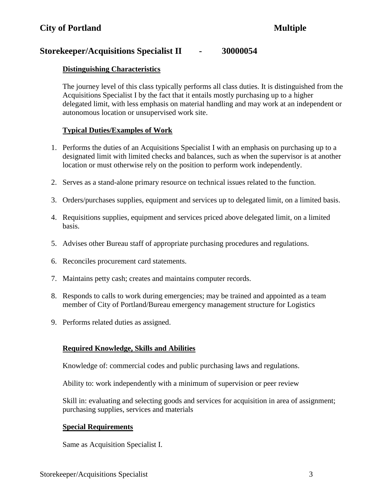# **Storekeeper/Acquisitions Specialist II - 30000054**

## **Distinguishing Characteristics**

The journey level of this class typically performs all class duties. It is distinguished from the Acquisitions Specialist I by the fact that it entails mostly purchasing up to a higher delegated limit, with less emphasis on material handling and may work at an independent or autonomous location or unsupervised work site.

## **Typical Duties/Examples of Work**

- 1. Performs the duties of an Acquisitions Specialist I with an emphasis on purchasing up to a designated limit with limited checks and balances, such as when the supervisor is at another location or must otherwise rely on the position to perform work independently.
- 2. Serves as a stand-alone primary resource on technical issues related to the function.
- 3. Orders/purchases supplies, equipment and services up to delegated limit, on a limited basis.
- 4. Requisitions supplies, equipment and services priced above delegated limit, on a limited basis.
- 5. Advises other Bureau staff of appropriate purchasing procedures and regulations.
- 6. Reconciles procurement card statements.
- 7. Maintains petty cash; creates and maintains computer records.
- 8. Responds to calls to work during emergencies; may be trained and appointed as a team member of City of Portland/Bureau emergency management structure for Logistics
- 9. Performs related duties as assigned.

## **Required Knowledge, Skills and Abilities**

Knowledge of: commercial codes and public purchasing laws and regulations.

Ability to: work independently with a minimum of supervision or peer review

Skill in: evaluating and selecting goods and services for acquisition in area of assignment; purchasing supplies, services and materials

## **Special Requirements**

Same as Acquisition Specialist I.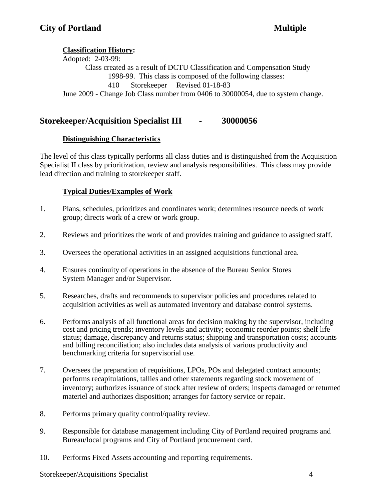# **Classification History:**

Adopted: 2-03-99: Class created as a result of DCTU Classification and Compensation Study 1998-99. This class is composed of the following classes: 410 Storekeeper Revised 01-18-83 June 2009 - Change Job Class number from 0406 to 30000054, due to system change.

# **Storekeeper/Acquisition Specialist III - 30000056**

# **Distinguishing Characteristics**

The level of this class typically performs all class duties and is distinguished from the Acquisition Specialist II class by prioritization, review and analysis responsibilities. This class may provide lead direction and training to storekeeper staff.

# **Typical Duties/Examples of Work**

- 1. Plans, schedules, prioritizes and coordinates work; determines resource needs of work group; directs work of a crew or work group.
- 2. Reviews and prioritizes the work of and provides training and guidance to assigned staff.
- 3. Oversees the operational activities in an assigned acquisitions functional area.
- 4. Ensures continuity of operations in the absence of the Bureau Senior Stores System Manager and/or Supervisor.
- 5. Researches, drafts and recommends to supervisor policies and procedures related to acquisition activities as well as automated inventory and database control systems.
- 6. Performs analysis of all functional areas for decision making by the supervisor, including cost and pricing trends; inventory levels and activity; economic reorder points; shelf life status; damage, discrepancy and returns status; shipping and transportation costs; accounts and billing reconciliation; also includes data analysis of various productivity and benchmarking criteria for supervisorial use.
- 7. Oversees the preparation of requisitions, LPOs, POs and delegated contract amounts; performs recapitulations, tallies and other statements regarding stock movement of inventory; authorizes issuance of stock after review of orders; inspects damaged or returned materiel and authorizes disposition; arranges for factory service or repair.
- 8. Performs primary quality control/quality review.
- 9. Responsible for database management including City of Portland required programs and Bureau/local programs and City of Portland procurement card.
- 10. Performs Fixed Assets accounting and reporting requirements.

Storekeeper/Acquisitions Specialist 4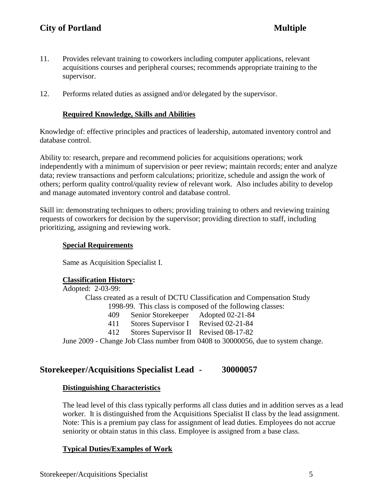- 11. Provides relevant training to coworkers including computer applications, relevant acquisitions courses and peripheral courses; recommends appropriate training to the supervisor.
- 12. Performs related duties as assigned and/or delegated by the supervisor.

## **Required Knowledge, Skills and Abilities**

Knowledge of: effective principles and practices of leadership, automated inventory control and database control.

Ability to: research, prepare and recommend policies for acquisitions operations; work independently with a minimum of supervision or peer review; maintain records; enter and analyze data; review transactions and perform calculations; prioritize, schedule and assign the work of others; perform quality control/quality review of relevant work. Also includes ability to develop and manage automated inventory control and database control.

Skill in: demonstrating techniques to others; providing training to others and reviewing training requests of coworkers for decision by the supervisor; providing direction to staff, including prioritizing, assigning and reviewing work.

## **Special Requirements**

Same as Acquisition Specialist I.

## **Classification History:**

Adopted: 2-03-99: Class created as a result of DCTU Classification and Compensation Study 1998-99. This class is composed of the following classes: 409 Senior Storekeeper Adopted 02-21-84 411 Stores Supervisor I Revised 02-21-84 412 Stores Supervisor II Revised 08-17-82 June 2009 - Change Job Class number from 0408 to 30000056, due to system change.

# **Storekeeper/Acquisitions Specialist Lead - 30000057**

## **Distinguishing Characteristics**

The lead level of this class typically performs all class duties and in addition serves as a lead worker. It is distinguished from the Acquisitions Specialist II class by the lead assignment. Note: This is a premium pay class for assignment of lead duties. Employees do not accrue seniority or obtain status in this class. Employee is assigned from a base class.

## **Typical Duties/Examples of Work**